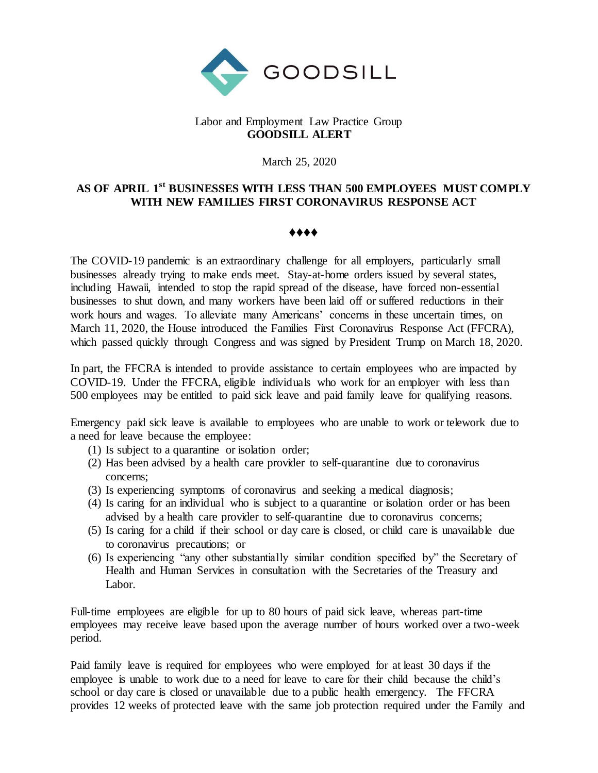

## Labor and Employment Law Practice Group **GOODSILL ALERT**

March 25, 2020

## **AS OF APRIL 1st BUSINESSES WITH LESS THAN 500 EMPLOYEES MUST COMPLY WITH NEW FAMILIES FIRST CORONAVIRUS RESPONSE ACT**

## ♦♦♦♦

The COVID-19 pandemic is an extraordinary challenge for all employers, particularly small businesses already trying to make ends meet. Stay-at-home orders issued by several states, including Hawaii, intended to stop the rapid spread of the disease, have forced non-essential businesses to shut down, and many workers have been laid off or suffered reductions in their work hours and wages. To alleviate many Americans' concerns in these uncertain times, on March 11, 2020, the House introduced the Families First Coronavirus Response Act (FFCRA), which passed quickly through Congress and was signed by President Trump on March 18, 2020.

In part, the FFCRA is intended to provide assistance to certain employees who are impacted by COVID-19. Under the FFCRA, eligible individuals who work for an employer with less than 500 employees may be entitled to paid sick leave and paid family leave for qualifying reasons.

Emergency paid sick leave is available to employees who are unable to work or telework due to a need for leave because the employee:

- (1) Is subject to a quarantine or isolation order;
- (2) Has been advised by a health care provider to self-quarantine due to coronavirus concerns;
- (3) Is experiencing symptoms of coronavirus and seeking a medical diagnosis;
- (4) Is caring for an individual who is subject to a quarantine or isolation order or has been advised by a health care provider to self-quarantine due to coronavirus concerns;
- (5) Is caring for a child if their school or day care is closed, or child care is unavailable due to coronavirus precautions; or
- (6) Is experiencing "any other substantially similar condition specified by" the Secretary of Health and Human Services in consultation with the Secretaries of the Treasury and Labor.

Full-time employees are eligible for up to 80 hours of paid sick leave, whereas part-time employees may receive leave based upon the average number of hours worked over a two-week period.

Paid family leave is required for employees who were employed for at least 30 days if the employee is unable to work due to a need for leave to care for their child because the child's school or day care is closed or unavailable due to a public health emergency. The FFCRA provides 12 weeks of protected leave with the same job protection required under the Family and